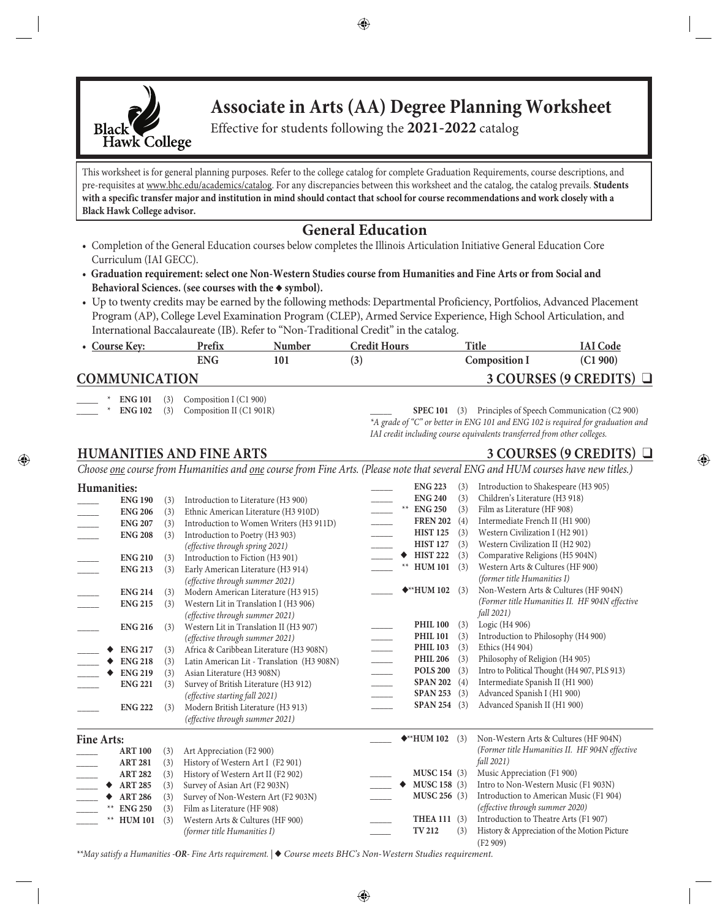

# **Associate in Arts (AA) Degree Planning Worksheet**

Effective for students following the **2021-2022** catalog

This worksheet is for general planning purposes. Refer to the college catalog for complete Graduation Requirements, course descriptions, and pre-requisites at www.bhc.edu/academics/catalog. For any discrepancies between this worksheet and the catalog, the catalog prevails. **Students with a specific transfer major and institution in mind should contact that school for course recommendations and work closely with a Black Hawk College advisor.**

# **General Education**

- Completion of the General Education courses below completes the Illinois Articulation Initiative General Education Core Curriculum (IAI GECC).
- **Graduation requirement: select one Non-Western Studies course from Humanities and Fine Arts or from Social and**  Behavioral Sciences. (see courses with the  $\bullet$  symbol).
- Up to twenty credits may be earned by the following methods: Departmental Proficiency, Portfolios, Advanced Placement Program (AP), College Level Examination Program (CLEP), Armed Service Experience, High School Articulation, and International Baccalaureate (IB). Refer to "Non-Traditional Credit" in the catalog.

| • Course Key:        | Prefix     | Number | <b>Credit Hours</b> | Title                | <b>IAI</b> Code              |
|----------------------|------------|--------|---------------------|----------------------|------------------------------|
|                      | <b>ENG</b> |        | (3)                 | <b>Composition I</b> | (C1 900)                     |
| <b>COMMUNICATION</b> |            |        |                     |                      | 3 COURSES (9 CREDITS) $\Box$ |

**ENG 101** (3) Composition I (C1 900)

**ENG 102** (3) Composition II (C1 901R)

SPEC 101 (3) Principles of Speech Communication (C2 900) *\*A grade of "C" or better in ENG 101 and ENG 102 is required for graduation and IAI credit including course equivalents transferred from other colleges.*

# **HUMANITIES AND FINE ARTS** 3 COURSES (9 CREDITS)  $\Box$

*Choose one course from Humanities and one course from Fine Arts. (Please note that several ENG and HUM courses have new titles.)*

| <b>Humanities:</b> |                |     |                                            |                          |      | <b>ENG 223</b>                        | (3) | Introduction to Shakespeare (H3 905)                    |
|--------------------|----------------|-----|--------------------------------------------|--------------------------|------|---------------------------------------|-----|---------------------------------------------------------|
|                    | <b>ENG 190</b> | (3) | Introduction to Literature (H3 900)        |                          |      | <b>ENG 240</b>                        | (3) | Children's Literature (H3 918)                          |
|                    | <b>ENG 206</b> | (3) | Ethnic American Literature (H3 910D)       |                          | $**$ | <b>ENG 250</b>                        | (3) | Film as Literature (HF 908)                             |
|                    | <b>ENG 207</b> | (3) | Introduction to Women Writers (H3 911D)    |                          |      | <b>FREN 202</b>                       | (4) | Intermediate French II (H1 900)                         |
|                    | <b>ENG 208</b> | (3) | Introduction to Poetry (H3 903)            |                          |      | <b>HIST 125</b>                       | (3) | Western Civilization I (H2 901)                         |
|                    |                |     | (effective through spring 2021)            |                          |      | <b>HIST 127</b>                       | (3) | Western Civilization II (H2 902)                        |
|                    | <b>ENG 210</b> | (3) | Introduction to Fiction (H3 901)           |                          |      | <b>HIST 222</b>                       | (3) | Comparative Religions (H5 904N)                         |
|                    | <b>ENG 213</b> | (3) | Early American Literature (H3 914)         |                          |      | <b>HUM 101</b>                        | (3) | Western Arts & Cultures (HF 900)                        |
|                    |                |     | (effective through summer 2021)            |                          |      |                                       |     | (former title Humanities I)                             |
|                    | <b>ENG 214</b> | (3) | Modern American Literature (H3 915)        |                          |      | $\blacklozenge$ <sup>**</sup> HUM 102 | (3) | Non-Western Arts & Cultures (HF 904N)                   |
|                    | <b>ENG 215</b> | (3) | Western Lit in Translation I (H3 906)      |                          |      |                                       |     | (Former title Humanities II. HF 904N effective          |
|                    |                |     | (effective through summer 2021)            |                          |      |                                       |     | fall 2021)                                              |
|                    | <b>ENG 216</b> | (3) | Western Lit in Translation II (H3 907)     |                          |      | <b>PHIL 100</b>                       | (3) | Logic (H4 906)                                          |
|                    |                |     | (effective through summer 2021)            |                          |      | <b>PHIL 101</b>                       | (3) | Introduction to Philosophy (H4 900)                     |
|                    | <b>ENG 217</b> | (3) | Africa & Caribbean Literature (H3 908N)    |                          |      | <b>PHIL 103</b>                       | (3) | Ethics (H <sub>4</sub> 904)                             |
|                    | <b>ENG 218</b> | (3) | Latin American Lit - Translation (H3 908N) |                          |      | <b>PHIL 206</b>                       | (3) | Philosophy of Religion (H4 905)                         |
|                    | <b>ENG 219</b> | (3) | Asian Literature (H3 908N)                 |                          |      | <b>POLS 200</b>                       | (3) | Intro to Political Thought (H4 907, PLS 913)            |
|                    | <b>ENG 221</b> | (3) | Survey of British Literature (H3 912)      | $\overline{\phantom{a}}$ |      | <b>SPAN 202</b>                       | (4) | Intermediate Spanish II (H1 900)                        |
|                    |                |     | (effective starting fall 2021)             |                          |      | <b>SPAN 253</b>                       | (3) | Advanced Spanish I (H1 900)                             |
|                    | <b>ENG 222</b> | (3) | Modern British Literature (H3 913)         |                          |      | <b>SPAN 254</b>                       | (3) | Advanced Spanish II (H1 900)                            |
|                    |                |     | (effective through summer 2021)            |                          |      |                                       |     |                                                         |
| <b>Fine Arts:</b>  |                |     |                                            |                          |      | $\blacklozenge$ **HUM 102             | (3) | Non-Western Arts & Cultures (HF 904N)                   |
|                    | <b>ART 100</b> | (3) | Art Appreciation (F2 900)                  |                          |      |                                       |     | (Former title Humanities II. HF 904N effective          |
|                    | <b>ART 281</b> | (3) | History of Western Art I (F2 901)          |                          |      |                                       |     | fall 2021)                                              |
|                    | <b>ART 282</b> | (3) | History of Western Art II (F2 902)         |                          |      | MUSC 154 (3)                          |     | Music Appreciation (F1 900)                             |
|                    | <b>ART 285</b> | (3) | Survey of Asian Art (F2 903N)              |                          | ٠    | MUSC 158 (3)                          |     | Intro to Non-Western Music (F1 903N)                    |
|                    | <b>ART 286</b> | (3) | Survey of Non-Western Art (F2 903N)        |                          |      | MUSC 256 (3)                          |     | Introduction to American Music (F1 904)                 |
|                    | <b>ENG 250</b> | (3) | Film as Literature (HF 908)                |                          |      |                                       |     | (effective through summer 2020)                         |
|                    | ** HUM 101     | (3) | Western Arts & Cultures (HF 900)           |                          |      | THEA 111 (3)                          |     | Introduction to Theatre Arts (F1 907)                   |
|                    |                |     | (former title Humanities I)                |                          |      | <b>TV 212</b>                         | (3) | History & Appreciation of the Motion Picture<br>(F2909) |

*\*\*May satisfy a Humanities -OR- Fine Arts requirement. |* u *Course meets BHC's Non-Western Studies requirement.*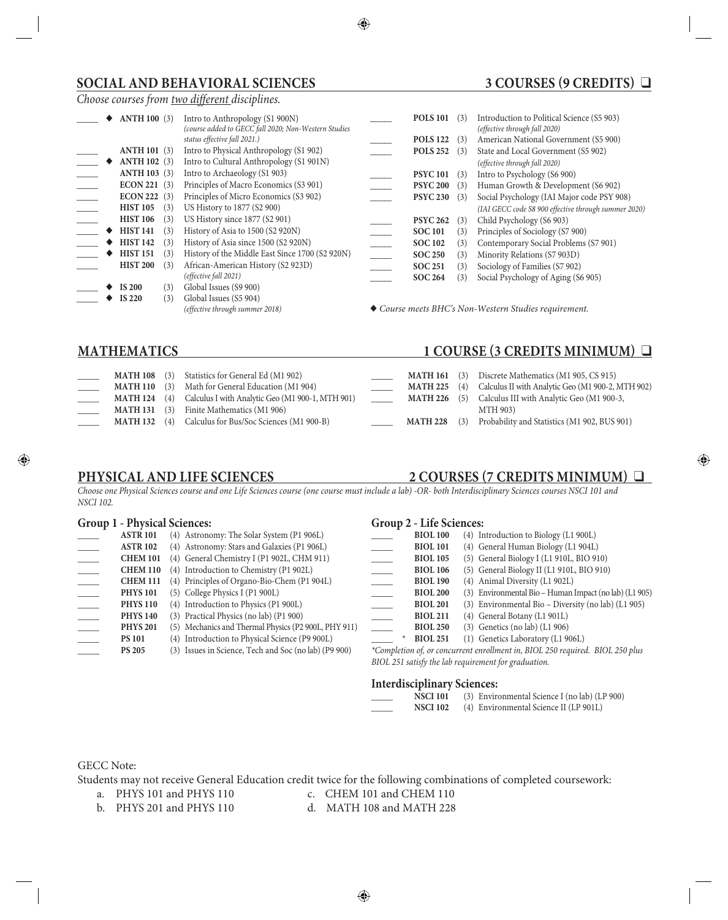# **SOCIAL AND BEHAVIORAL SCIENCES** 3 COURSES (9 CREDITS) Q

### *Choose courses from two different disciplines.*

|  | <b>ANTH 100 (3)</b> |     | Intro to Anthropology (S1 900N)<br>(course added to GECC fall 2020; Non-Western Studies |                          | <b>POLS 101</b> | (3) | Introduction to Political Science (S5 903)<br>(effective through fall 2020) |
|--|---------------------|-----|-----------------------------------------------------------------------------------------|--------------------------|-----------------|-----|-----------------------------------------------------------------------------|
|  |                     |     | status effective fall 2021.)                                                            |                          | <b>POLS 122</b> | (3) | American National Government (S5 900)                                       |
|  | <b>ANTH 101 (3)</b> |     | Intro to Physical Anthropology (S1 902)                                                 |                          | <b>POLS 252</b> | (3) | State and Local Government (S5 902)                                         |
|  | <b>ANTH 102 (3)</b> |     | Intro to Cultural Anthropology (S1 901N)                                                |                          |                 |     | (effective through fall 2020)                                               |
|  | <b>ANTH 103 (3)</b> |     | Intro to Archaeology (S1 903)                                                           |                          | <b>PSYC 101</b> | (3) | Intro to Psychology (S6 900)                                                |
|  | ECON 221 (3)        |     | Principles of Macro Economics (S3 901)                                                  |                          | <b>PSYC 200</b> | (3) | Human Growth & Development (S6 902)                                         |
|  | <b>ECON 222</b>     | (3) | Principles of Micro Economics (S3 902)                                                  |                          | <b>PSYC 230</b> | (3) | Social Psychology (IAI Major code PSY 908)                                  |
|  | <b>HIST 105</b>     | (3) | US History to 1877 (\$2 900)                                                            |                          |                 |     | (IAI GECC code S8 900 effective through summer 2020)                        |
|  | <b>HIST 106</b>     | (3) | US History since 1877 (S2 901)                                                          |                          | <b>PSYC 262</b> | (3) | Child Psychology (S6 903)                                                   |
|  | <b>HIST 141</b>     | (3) | History of Asia to 1500 (S2 920N)                                                       |                          | <b>SOC 101</b>  | (3) | Principles of Sociology (S7 900)                                            |
|  | <b>HIST 142</b>     | (3) | History of Asia since 1500 (S2 920N)                                                    |                          | <b>SOC 102</b>  | (3) | Contemporary Social Problems (S7 901)                                       |
|  | <b>HIST 151</b>     | (3) | History of the Middle East Since 1700 (S2 920N)                                         | $\overline{\phantom{a}}$ | <b>SOC 250</b>  | (3) | Minority Relations (S7 903D)                                                |
|  | <b>HIST 200</b>     | (3) | African-American History (S2 923D)                                                      |                          | <b>SOC 251</b>  | (3) | Sociology of Families (S7 902)                                              |
|  |                     |     | (effective fall 2021)                                                                   |                          | <b>SOC 264</b>  | (3) | Social Psychology of Aging (S6 905)                                         |
|  | <b>IS 200</b>       | (3) | Global Issues (S9 900)                                                                  |                          |                 |     |                                                                             |
|  | <b>IS 220</b>       | (3) | Global Issues (S5 904)                                                                  |                          |                 |     |                                                                             |
|  |                     |     | (effective through summer 2018)                                                         |                          |                 |     | $\blacklozenge$ Course meets BHC's Non-Western Studies requirement.         |

### **MATHEMATICS** 1 COURSE (3 CREDITS MINIMUM)  $\Box$

| <b>MATH 108</b> (3)<br><b>MATH 110</b> (3)<br>$MATH 124$ (4)<br><b>MATH 131</b> (3) | Statistics for General Ed (M1 902)<br>Math for General Education (M1 904)<br>Calculus I with Analytic Geo (M1 900-1, MTH 901)<br>Finite Mathematics (M1 906) | <b>MATH 161</b> (3)<br>$MATH 225$ (4)<br><b>MATH 226</b> $(5)$ | Discrete Mathematics (M1 905, CS 915)<br>Calculus II with Analytic Geo (M1 900-2, MTH 902)<br>Calculus III with Analytic Geo (M1 900-3,<br>MTH 903) |
|-------------------------------------------------------------------------------------|--------------------------------------------------------------------------------------------------------------------------------------------------------------|----------------------------------------------------------------|-----------------------------------------------------------------------------------------------------------------------------------------------------|
| <b>MATH 132</b> $(4)$                                                               | Calculus for Bus/Soc Sciences (M1 900-B)                                                                                                                     | <b>MATH 228</b> (3)                                            | Probability and Statistics (M1 902, BUS 901)                                                                                                        |

### **PHYSICAL AND LIFE SCIENCES** 2 COURSES (7 CREDITS MINIMUM)  $\Box$

*Choose one Physical Sciences course and one Life Sciences course (one course must include a lab) -OR- both Interdisciplinary Sciences courses NSCI 101 and NSCI 102.*

### **Group 1 - Physical Sciences:**

| <b>ASTR 101</b> | (4) Astronomy: The Solar System (P1 906L)             |                   |
|-----------------|-------------------------------------------------------|-------------------|
| <b>ASTR 102</b> | (4) Astronomy: Stars and Galaxies (P1 906L)           |                   |
| <b>CHEM 101</b> | (4) General Chemistry I (P1 902L, CHM 911)            |                   |
| <b>CHEM 110</b> | (4) Introduction to Chemistry (P1 902L)               |                   |
| <b>CHEM 111</b> | (4) Principles of Organo-Bio-Chem (P1 904L)           |                   |
| <b>PHYS 101</b> | (5) College Physics I (P1 900L)                       |                   |
| <b>PHYS 110</b> | (4) Introduction to Physics (P1 900L)                 |                   |
| <b>PHYS 140</b> | (3) Practical Physics (no lab) (P1 900)               |                   |
| <b>PHYS 201</b> | (5) Mechanics and Thermal Physics (P2 900L, PHY 911)  |                   |
| <b>PS 101</b>   | (4) Introduction to Physical Science (P9 900L)        | $\star$           |
| <b>PS 205</b>   | (3) Issues in Science, Tech and Soc (no lab) (P9 900) | <i>*Completio</i> |

### **Group 2 - Life Sciences:**

| <b>BIOL 100</b> | (4) Introduction to Biology (L1 900L) |  |
|-----------------|---------------------------------------|--|
| <b>BIOL 101</b> | (4) General Human Biology (L1 904L)   |  |

- \_\_\_\_\_ **BIOL 105** (5) General Biology I (L1 910L, BIO 910)
- \_\_\_\_\_ **BIOL 106** (5) General Biology II (L1 910L, BIO 910)
- \_\_\_\_\_ **BIOL 190** (4) Animal Diversity (L1 902L)
- \_\_\_\_\_ **BIOL 200** (3) Environmental Bio Human Impact (no lab) (L1 905)
- BIOL 201 (3) Environmental Bio Diversity (no lab) (L1 905)
- BIOL 211 (4) General Botany (L1 901L)
- \_\_\_\_\_ **BIOL 250** (3) Genetics (no lab) (L1 906)
- BIOL 251 (1) Genetics Laboratory (L1 906L)

*\*Completion of, or concurrent enrollment in, BIOL 250 required. BIOL 250 plus BIOL 251 satisfy the lab requirement for graduation.*

### **Interdisciplinary Sciences:**

| <b>NSCI 101</b> | (3) Environmental Science I (no lab) (LP 900) |
|-----------------|-----------------------------------------------|
| <b>NSCI 102</b> | (4) Environmental Science II (LP 901L)        |

### GECC Note:

Students may not receive General Education credit twice for the following combinations of completed coursework:<br>a. PHYS 101 and PHYS 110 c. CHEM 101 and CHEM 110

- 
- 
- 
- c. CHEM 101 and CHEM 110
- b. PHYS 201 and PHYS 110 d. MATH 108 and MATH 228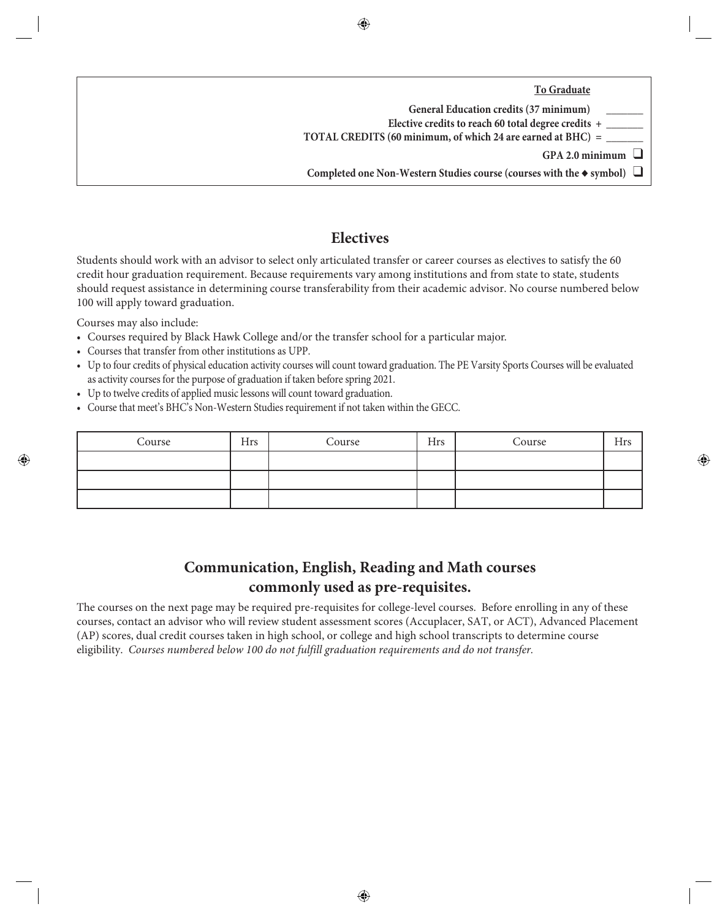**To Graduate**

| General Education credits (37 minimum)                                                |
|---------------------------------------------------------------------------------------|
| Elective credits to reach 60 total degree credits +                                   |
| TOTAL CREDITS (60 minimum, of which 24 are earned at BHC) =                           |
| GPA 2.0 minimum                                                                       |
| Completed one Non-Western Studies course (courses with the $\triangle$ symbol) $\Box$ |
|                                                                                       |

# **Electives**

Students should work with an advisor to select only articulated transfer or career courses as electives to satisfy the 60 credit hour graduation requirement. Because requirements vary among institutions and from state to state, students should request assistance in determining course transferability from their academic advisor. No course numbered below 100 will apply toward graduation.

Courses may also include:

- Courses required by Black Hawk College and/or the transfer school for a particular major.
- Courses that transfer from other institutions as UPP.
- Up to four credits of physical education activity courses will count toward graduation. The PE Varsity Sports Courses will be evaluated as activity courses for the purpose of graduation if taken before spring 2021.
- Up to twelve credits of applied music lessons will count toward graduation.
- Course that meet's BHC's Non-Western Studies requirement if not taken within the GECC.

| Course | Hrs | Course | <b>Hrs</b> | Course | <b>Hrs</b> |
|--------|-----|--------|------------|--------|------------|
|        |     |        |            |        |            |
|        |     |        |            |        |            |
|        |     |        |            |        |            |

# **Communication, English, Reading and Math courses commonly used as pre-requisites.**

The courses on the next page may be required pre-requisites for college-level courses. Before enrolling in any of these courses, contact an advisor who will review student assessment scores (Accuplacer, SAT, or ACT), Advanced Placement (AP) scores, dual credit courses taken in high school, or college and high school transcripts to determine course eligibility. *Courses numbered below 100 do not fulfill graduation requirements and do not transfer.*